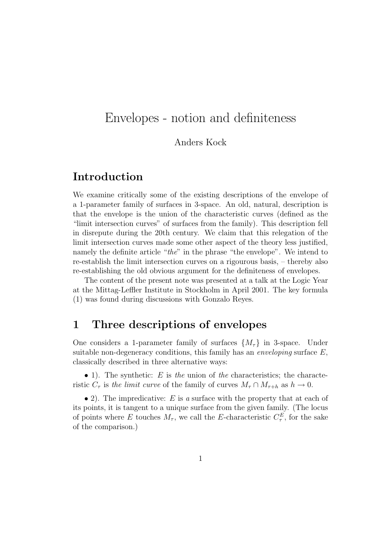# Envelopes - notion and definiteness

#### Anders Kock

## Introduction

We examine critically some of the existing descriptions of the envelope of a 1-parameter family of surfaces in 3-space. An old, natural, description is that the envelope is the union of the characteristic curves (defined as the "limit intersection curves" of surfaces from the family). This description fell in disrepute during the 20th century. We claim that this relegation of the limit intersection curves made some other aspect of the theory less justified, namely the definite article "the" in the phrase "the envelope". We intend to re-establish the limit intersection curves on a rigourous basis, – thereby also re-establishing the old obvious argument for the definiteness of envelopes.

The content of the present note was presented at a talk at the Logic Year at the Mittag-Leffler Institute in Stockholm in April 2001. The key formula (1) was found during discussions with Gonzalo Reyes.

### 1 Three descriptions of envelopes

One considers a 1-parameter family of surfaces  $\{M_{\tau}\}\$  in 3-space. Under suitable non-degeneracy conditions, this family has an *enveloping* surface  $E$ , classically described in three alternative ways:

• 1). The synthetic:  $E$  is the union of the characteristics; the characteristic  $C_{\tau}$  is the limit curve of the family of curves  $M_{\tau} \cap M_{\tau+h}$  as  $h \to 0$ .

• 2). The impredicative: E is a surface with the property that at each of its points, it is tangent to a unique surface from the given family. (The locus of points where E touches  $M_{\tau}$ , we call the E-characteristic  $C_{\tau}^{E}$ , for the sake of the comparison.)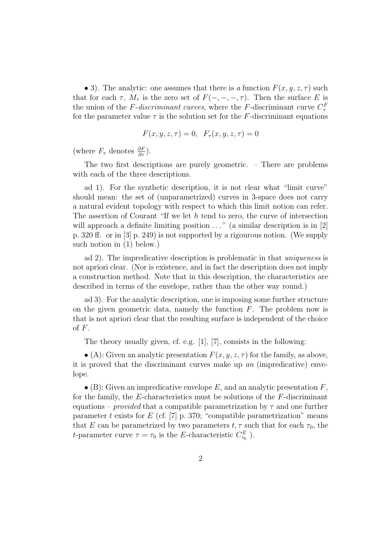• 3). The analytic: one assumes that there is a function  $F(x, y, z, \tau)$  such that for each  $\tau$ ,  $M_{\tau}$  is the zero set of  $F(-, -, -, \tau)$ . Then the surface E is the union of the F-discriminant curves, where the F-discriminant curve  $C_{\tau}^{F}$ for the parameter value  $\tau$  is the solution set for the F-discriminant equations

$$
F(x, y, z, \tau) = 0, \quad F_{\tau}(x, y, z, \tau) = 0
$$

(where  $F_{\tau}$  denotes  $\frac{\partial F}{\partial \tau}$ ).

The two first descriptions are purely geometric. – There are problems with each of the three descriptions.

ad 1). For the synthetic description, it is not clear what "limit curve" should mean: the set of (unparametrized) curves in 3-space does not carry a natural evident topology with respect to which this limit notion can refer. The assertion of Courant "If we let  $h$  tend to zero, the curve of intersection will approach a definite limiting position  $\dots$  " (a similar description is in [2] p. 320 ff. or in [3] p. 249) is not supported by a rigourous notion. (We supply such notion in (1) below.)

ad 2). The impredicative description is problematic in that uniqueness is not apriori clear. (Nor is existence, and in fact the description does not imply a construction method. Note that in this description, the characteristics are described in terms of the envelope, rather than the other way round.)

ad 3). For the analytic description, one is imposing some further structure on the given geometric data, namely the function  $F$ . The problem now is that is not apriori clear that the resulting surface is independent of the choice of  $F$ .

The theory usually given, cf. e.g. [1], [7], consists in the following:

• (A): Given an analytic presentation  $F(x, y, z, \tau)$  for the family, as above, it is proved that the discriminant curves make up an (impredicative) envelope.

 $\bullet$  (B): Given an impredicative envelope E, and an analytic presentation F, for the family, the E-characteristics must be solutions of the F-discriminant equations – provided that a compatible parametrization by  $\tau$  and one further parameter t exists for  $E$  (cf. [7] p. 370; "compatible parametrization" means that E can be parametrized by two parameters  $t, \tau$  such that for each  $\tau_0$ , the *t*-parameter curve  $\tau = \tau_0$  is the *E*-characteristic  $C_{\tau_0}^E$ ).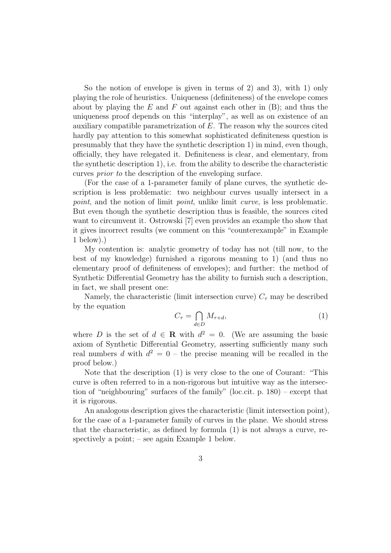So the notion of envelope is given in terms of 2) and 3), with 1) only playing the role of heuristics. Uniqueness (definiteness) of the envelope comes about by playing the E and F out against each other in  $(B)$ ; and thus the uniqueness proof depends on this "interplay", as well as on existence of an auxiliary compatible parametrization of  $E$ . The reason why the sources cited hardly pay attention to this somewhat sophisticated definiteness question is presumably that they have the synthetic description 1) in mind, even though, officially, they have relegated it. Definiteness is clear, and elementary, from the synthetic description 1), i.e. from the ability to describe the characteristic curves prior to the description of the enveloping surface.

(For the case of a 1-parameter family of plane curves, the synthetic description is less problematic: two neighbour curves usually intersect in a point, and the notion of limit point, unlike limit curve, is less problematic. But even though the synthetic description thus is feasible, the sources cited want to circumvent it. Ostrowski [7] even provides an example tho show that it gives incorrect results (we comment on this "counterexample" in Example 1 below).)

My contention is: analytic geometry of today has not (till now, to the best of my knowledge) furnished a rigorous meaning to 1) (and thus no elementary proof of definiteness of envelopes); and further: the method of Synthetic Differential Geometry has the ability to furnish such a description, in fact, we shall present one:

Namely, the characteristic (limit intersection curve)  $C_{\tau}$  may be described by the equation

$$
C_{\tau} = \bigcap_{d \in D} M_{\tau + d},\tag{1}
$$

where D is the set of  $d \in \mathbf{R}$  with  $d^2 = 0$ . (We are assuming the basic axiom of Synthetic Differential Geometry, asserting sufficiently many such real numbers d with  $d^2 = 0$  – the precise meaning will be recalled in the proof below.)

Note that the description (1) is very close to the one of Courant: "This curve is often referred to in a non-rigorous but intuitive way as the intersection of "neighbouring" surfaces of the family" (loc.cit. p. 180) – except that it is rigorous.

An analogous description gives the characteristic (limit intersection point), for the case of a 1-parameter family of curves in the plane. We should stress that the characteristic, as defined by formula (1) is not always a curve, respectively a point; – see again Example 1 below.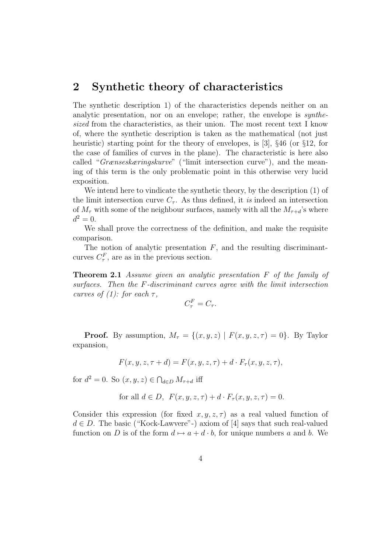# 2 Synthetic theory of characteristics

The synthetic description 1) of the characteristics depends neither on an analytic presentation, nor on an envelope; rather, the envelope is synthesized from the characteristics, as their union. The most recent text I know of, where the synthetic description is taken as the mathematical (not just heuristic) starting point for the theory of envelopes, is [3], §46 (or §12, for the case of families of curves in the plane). The characteristic is here also called "Grænseskæringskurve" ("limit intersection curve"), and the meaning of this term is the only problematic point in this otherwise very lucid exposition.

We intend here to vindicate the synthetic theory, by the description (1) of the limit intersection curve  $C_{\tau}$ . As thus defined, it is indeed an intersection of  $M_{\tau}$  with some of the neighbour surfaces, namely with all the  $M_{\tau+d}$ 's where  $d^2 = 0.$ 

We shall prove the correctness of the definition, and make the requisite comparison.

The notion of analytic presentation  $F$ , and the resulting discriminantcurves  $C^F_\tau$ , are as in the previous section.

**Theorem 2.1** Assume given an analytic presentation F of the family of surfaces. Then the F-discriminant curves agree with the limit intersection curves of (1): for each  $\tau$ ,

$$
C_{\tau}^{F} = C_{\tau}.
$$

**Proof.** By assumption,  $M_{\tau} = \{(x, y, z) | F(x, y, z, \tau) = 0\}$ . By Taylor expansion,

$$
F(x, y, z, \tau + d) = F(x, y, z, \tau) + d \cdot F_{\tau}(x, y, z, \tau),
$$

for  $d^2 = 0$ . So  $(x, y, z) \in \bigcap_{d \in D} M_{\tau+d}$  iff

for all 
$$
d \in D
$$
,  $F(x, y, z, \tau) + d \cdot F_{\tau}(x, y, z, \tau) = 0$ .

Consider this expression (for fixed  $x, y, z, \tau$ ) as a real valued function of  $d \in D$ . The basic ("Kock-Lawvere"-) axiom of [4] says that such real-valued function on D is of the form  $d \mapsto a + d \cdot b$ , for unique numbers a and b. We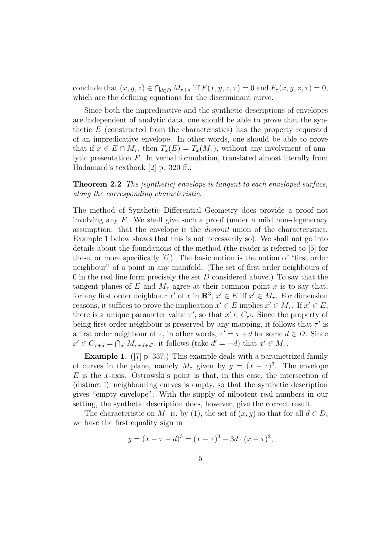conclude that  $(x, y, z) \in \bigcap_{d \in D} M_{\tau+d}$  iff  $F(x, y, z, \tau) = 0$  and  $F_{\tau}(x, y, z, \tau) = 0$ , which are the defining equations for the discriminant curve.

Since both the impredicative and the synthetic descriptions of envelopes are independent of analytic data, one should be able to prove that the synthetic E (constructed from the characteristics) has the property requested of an impredicative envelope. In other words, one should be able to prove that if  $x \in E \cap M_\tau$ , then  $T_x(E) = T_x(M_\tau)$ , without any involvment of analytic presentation F. In verbal formulation, translated almost literally from Hadamard's textbook [2] p. 320 ff.:

**Theorem 2.2** The [synthetic] envelope is tangent to each enveloped surface, along the corresponding characteristic.

The method of Synthetic Differential Geometry does provide a proof not involving any F. We shall give such a proof (under a mild non-degeneracy assumption: that the envelope is the disjoint union of the characteristics. Example 1 below shows that this is not necessarily so). We shall not go into details about the foundations of the method (the reader is referred to [5] for these, or more specifically [6]). The basic notion is the notion of "first order neighbour" of a point in any manifold. (The set of first order neighbours of 0 in the real line form precisely the set  $D$  considered above.) To say that the tangent planes of E and  $M_{\tau}$  agree at their common point x is to say that, for any first order neighbour  $x'$  of  $x$  in  $\mathbb{R}^3$ ,  $x' \in E$  iff  $x' \in M_\tau$ . For dimension reasons, it suffices to prove the implication  $x' \in E$  implies  $x' \in M_{\tau}$ . If  $x' \in E$ , there is a unique parameter value  $\tau'$ , so that  $x' \in C_{\tau'}$ . Since the property of being first-order neighbour is preserved by any mapping, it follows that  $\tau'$  is a first order neighbour of  $\tau$ , in other words,  $\tau' = \tau + d$  for some  $d \in D$ . Since  $x' \in C_{\tau+d} = \bigcap_{d'} M_{\tau+d+d'}$ , it follows (take  $d' = -d$ ) that  $x' \in M_{\tau}$ .

Example 1. ([7] p. 337.) This example deals with a parametrized family of curves in the plane, namely  $M_{\tau}$  given by  $y = (x - \tau)^3$ . The envelope  $E$  is the x-axis. Ostrowski's point is that, in this case, the intersection of (distinct !) neighbouring curves is empty, so that the synthetic description gives "empty envelope". With the supply of nilpotent real numbers in our setting, the synthetic description does, however, give the correct result.

The characteristic on  $M_{\tau}$  is, by (1), the set of  $(x, y)$  so that for all  $d \in D$ , we have the first equality sign in

$$
y = (x - \tau - d)^3 = (x - \tau)^3 - 3d \cdot (x - \tau)^2,
$$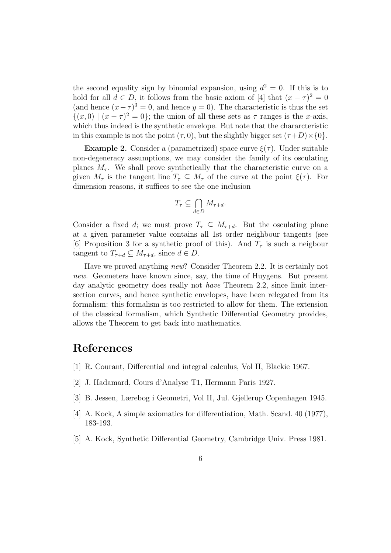the second equality sign by binomial expansion, using  $d^2 = 0$ . If this is to hold for all  $d \in D$ , it follows from the basic axiom of [4] that  $(x - \tau)^2 = 0$ (and hence  $(x - \tau)^3 = 0$ , and hence  $y = 0$ ). The characteristic is thus the set  $\{(x,0) | (x - \tau)^2 = 0\}$ ; the union of all these sets as  $\tau$  ranges is the x-axis, which thus indeed is the synthetic envelope. But note that the chararcteristic in this example is not the point  $(\tau, 0)$ , but the slightly bigger set  $(\tau+D)\times\{0\}$ .

**Example 2.** Consider a (parametrized) space curve  $\xi(\tau)$ . Under suitable non-degeneracy assumptions, we may consider the family of its osculating planes  $M_{\tau}$ . We shall prove synthetically that the characteristic curve on a given  $M_{\tau}$  is the tangent line  $T_{\tau} \subseteq M_{\tau}$  of the curve at the point  $\xi(\tau)$ . For dimension reasons, it suffices to see the one inclusion

$$
T_\tau \subseteq \bigcap_{d \in D} M_{\tau + d}.
$$

Consider a fixed d; we must prove  $T_{\tau} \subseteq M_{\tau+d}$ . But the osculating plane at a given parameter value contains all 1st order neighbour tangents (see [6] Proposition 3 for a synthetic proof of this). And  $T<sub>\tau</sub>$  is such a neigbour tangent to  $T_{\tau+d} \subseteq M_{\tau+d}$ , since  $d \in D$ .

Have we proved anything new? Consider Theorem 2.2. It is certainly not new. Geometers have known since, say, the time of Huygens. But present day analytic geometry does really not have Theorem 2.2, since limit intersection curves, and hence synthetic envelopes, have been relegated from its formalism: this formalism is too restricted to allow for them. The extension of the classical formalism, which Synthetic Differential Geometry provides, allows the Theorem to get back into mathematics.

# References

- [1] R. Courant, Differential and integral calculus, Vol II, Blackie 1967.
- [2] J. Hadamard, Cours d'Analyse T1, Hermann Paris 1927.
- [3] B. Jessen, Lærebog i Geometri, Vol II, Jul. Gjellerup Copenhagen 1945.
- [4] A. Kock, A simple axiomatics for differentiation, Math. Scand. 40 (1977), 183-193.
- [5] A. Kock, Synthetic Differential Geometry, Cambridge Univ. Press 1981.